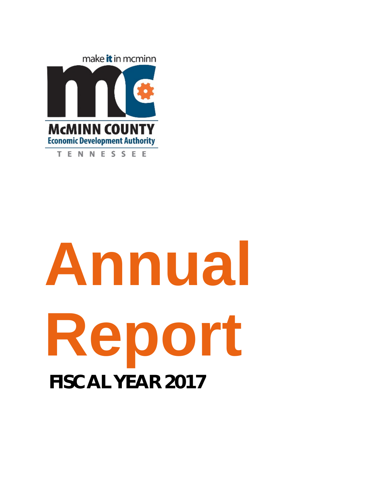

# **Annual Report FISCAL YEAR 2017**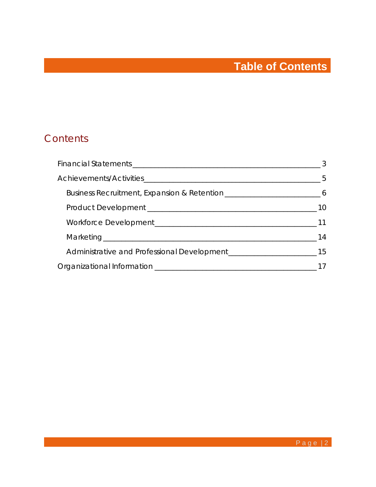# **Table of Contents**

## **Contents**

| Business Recruitment, Expansion & Retention _________________________________6 |  |
|--------------------------------------------------------------------------------|--|
|                                                                                |  |
|                                                                                |  |
|                                                                                |  |
|                                                                                |  |
|                                                                                |  |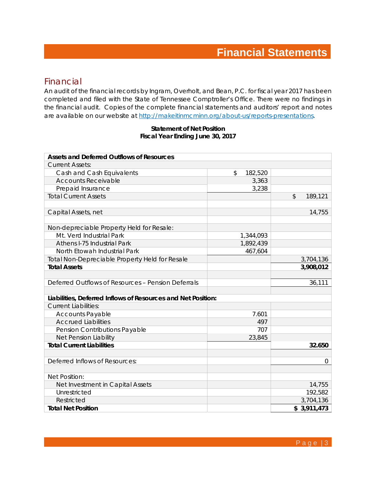## **Financial Statements**

#### Financial

An audit of the financial records by Ingram, Overholt, and Bean, P.C. for fiscal year 2017 has been completed and filed with the State of Tennessee Comptroller's Office. There were no findings in the financial audit. Copies of the complete financial statements and auditors' report and notes are available on our website at http://makeitinmcminn.org/about-us/reports-presentations.

#### **Statement of Net Position Fiscal Year Ending June 30, 2017**

| <b>Assets and Deferred Outflows of Resources</b>             |               |                       |
|--------------------------------------------------------------|---------------|-----------------------|
| <b>Current Assets:</b>                                       |               |                       |
| Cash and Cash Equivalents                                    | \$<br>182,520 |                       |
| <b>Accounts Receivable</b>                                   | 3,363         |                       |
| Prepaid Insurance                                            | 3,238         |                       |
| <b>Total Current Assets</b>                                  |               | $\sqrt{2}$<br>189,121 |
|                                                              |               |                       |
| Capital Assets, net                                          |               | 14,755                |
|                                                              |               |                       |
| Non-depreciable Property Held for Resale:                    |               |                       |
| Mt. Verd Industrial Park                                     | 1,344,093     |                       |
| Athens I-75 Industrial Park                                  | 1,892,439     |                       |
| North Etowah Industrial Park                                 | 467,604       |                       |
| Total Non-Depreciable Property Held for Resale               |               | 3,704,136             |
| <b>Total Assets</b>                                          |               | 3,908,012             |
|                                                              |               |                       |
| Deferred Outflows of Resources - Pension Deferrals           |               | 36,111                |
|                                                              |               |                       |
| Liabilities, Deferred Inflows of Resources and Net Position: |               |                       |
| <b>Current Liabilities:</b>                                  |               |                       |
| <b>Accounts Payable</b>                                      | 7.601         |                       |
| <b>Accrued Liabilities</b>                                   | 497           |                       |
| Pension Contributions Payable                                | 707           |                       |
| Net Pension Liability                                        | 23,845        |                       |
| <b>Total Current Liabilities</b>                             |               | 32.650                |
|                                                              |               |                       |
| Deferred Inflows of Resources:                               |               | 0                     |
|                                                              |               |                       |
| <b>Net Position:</b>                                         |               |                       |
| Net Investment in Capital Assets                             |               | 14,755                |
| Unrestricted                                                 |               | 192,582               |
| Restricted                                                   |               | 3,704,136             |
| <b>Total Net Position</b>                                    |               | \$3,911,473           |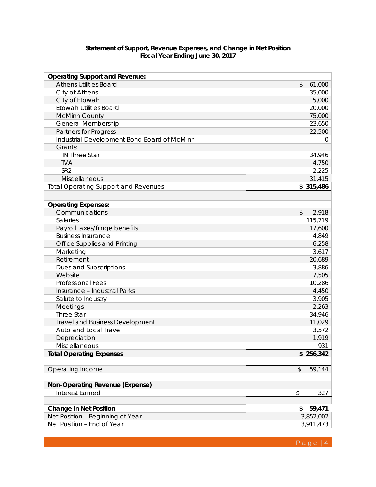#### **Statement of Support, Revenue Expenses, and Change in Net Position Fiscal Year Ending June 30, 2017**

| <b>Operating Support and Revenue:</b>       |                         |
|---------------------------------------------|-------------------------|
| <b>Athens Utilities Board</b>               | \$<br>61,000            |
| City of Athens                              | 35,000                  |
| City of Etowah                              | 5,000                   |
| <b>Etowah Utilities Board</b>               | 20,000                  |
| <b>McMinn County</b>                        | 75,000                  |
| <b>General Membership</b>                   | 23,650                  |
| Partners for Progress                       | 22,500                  |
| Industrial Development Bond Board of McMinn | 0                       |
| Grants:                                     |                         |
| TN Three Star                               | 34,946                  |
| <b>TVA</b>                                  | 4,750                   |
| SR <sub>2</sub>                             | 2,225                   |
| Miscellaneous                               | 31,415                  |
| <b>Total Operating Support and Revenues</b> | \$315,486               |
|                                             |                         |
| <b>Operating Expenses:</b>                  |                         |
| Communications                              | $\mathcal{L}$<br>2,918  |
| <b>Salaries</b>                             | 115,719                 |
| Payroll taxes/fringe benefits               | 17,600                  |
| <b>Business Insurance</b>                   | 4,849                   |
| Office Supplies and Printing                | 6,258                   |
| Marketing                                   | 3,617                   |
| Retirement                                  | 20,689                  |
| Dues and Subscriptions                      | 3,886                   |
| Website                                     | 7,505                   |
| <b>Professional Fees</b>                    | 10,286                  |
| Insurance - Industrial Parks                | 4,450                   |
| Salute to Industry                          | 3,905                   |
| Meetings                                    | 2,263                   |
| Three Star                                  | 34,946                  |
| <b>Travel and Business Development</b>      | 11,029                  |
| Auto and Local Travel                       | 3,572                   |
| Depreciation                                | 1,919                   |
| Miscellaneous                               | 931                     |
| <b>Total Operating Expenses</b>             | \$256,342               |
|                                             |                         |
| Operating Income                            | $\frac{1}{2}$<br>59,144 |
|                                             |                         |
| <b>Non-Operating Revenue (Expense)</b>      |                         |
| Interest Earned                             | \$<br>327               |
|                                             |                         |
| <b>Change in Net Position</b>               | 59,471<br>\$            |
| Net Position - Beginning of Year            | 3,852,002               |
| Net Position - End of Year                  | 3,911,473               |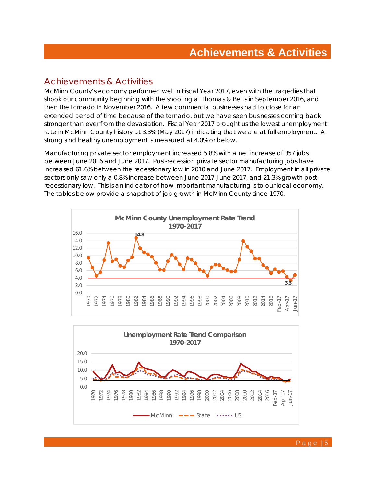### Achievements & Activities

McMinn County's economy performed well in Fiscal Year 2017, even with the tragedies that shook our community beginning with the shooting at Thomas & Betts in September 2016, and then the tornado in November 2016. A few commercial businesses had to close for an extended period of time because of the tornado, but we have seen businesses coming back stronger than ever from the devastation. Fiscal Year 2017 brought us the lowest unemployment rate in McMinn County history at 3.3% (May 2017) indicating that we are at full employment. A strong and healthy unemployment is measured at 4.0% or below.

Manufacturing private sector employment increased 5.8% with a net increase of 357 jobs between June 2016 and June 2017. Post-recession private sector manufacturing jobs have increased 61.6% between the recessionary low in 2010 and June 2017. Employment in all private sectors only saw only a 0.8% increase between June 2017-June 2017, and 21.3% growth postrecessionary low. This is an indicator of how important manufacturing is to our local economy. The tables below provide a snapshot of job growth in McMinn County since 1970.



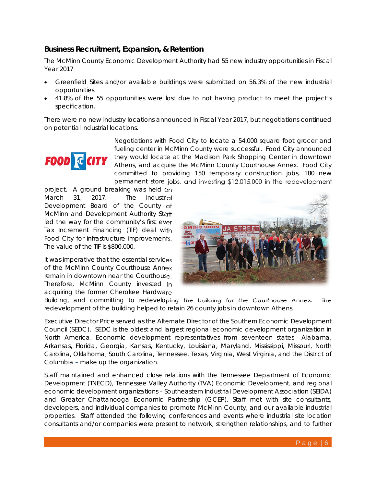#### **Business Recruitment, Expansion, & Retention**

The McMinn County Economic Development Authority had 55 new industry opportunities in Fiscal Year 2017

- Greenfield Sites and/or available buildings were submitted on 56.3% of the new industrial opportunities.
- 41.8% of the 55 opportunities were lost due to not having product to meet the project's specification.

There were no new industry locations announced in Fiscal Year 2017, but negotiations continued on potential industrial locations.



Negotiations with Food City to locate a 54,000 square foot grocer and fueling center in McMinn County were successful. Food City announced they would locate at the Madison Park Shopping Center in downtown Athens, and acquire the McMinn County Courthouse Annex. Food City committed to providing 150 temporary construction jobs, 180 new permanent store jobs, and investing \$12,015,000 in the redevelopment

project. A ground breaking was held on March 31, 2017. The Industrial Development Board of the County of McMinn and Development Authority Staff led the way for the community's first ever Tax Increment Financing (TIF) deal with Food City for infrastructure improvements. The value of the TIF is \$800,000.

It was imperative that the essential services of the McMinn County Courthouse Annex remain in downtown near the Courthouse. Therefore, McMinn County invested in acquiring the former Cherokee Hardware



Building, and committing to redeveloping the building for the Courthouse Annex. The redevelopment of the building helped to retain 26 county jobs in downtown Athens.

Executive Director Price served as the Alternate Director of the Southern Economic Development Council (SEDC). SEDC is the oldest and largest regional economic development organization in North America. Economic development representatives from seventeen states - Alabama, Arkansas, Florida, Georgia, Kansas, Kentucky, Louisiana, Maryland, Mississippi, Missouri, North Carolina, Oklahoma, South Carolina, Tennessee, Texas, Virginia, West Virginia, and the District of Columbia – make up the organization.

Staff maintained and enhanced close relations with the Tennessee Department of Economic Development (TNECD), Tennessee Valley Authority (TVA) Economic Development, and regional economic development organizations – Southeastern Industrial Development Association (SEIDA) and Greater Chattanooga Economic Partnership (GCEP). Staff met with site consultants, developers, and individual companies to promote McMinn County, and our available industrial properties. Staff attended the following conferences and events where industrial site location consultants and/or companies were present to network, strengthen relationships, and to further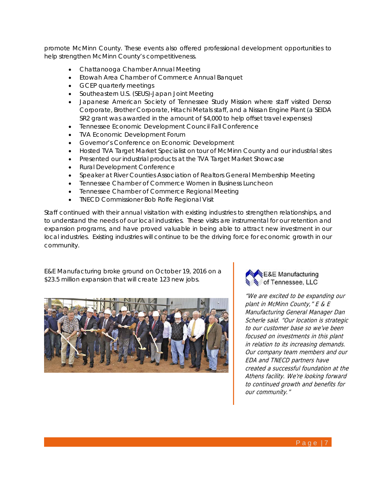promote McMinn County. These events also offered professional development opportunities to help strengthen McMinn County's competitiveness.

- Chattanooga Chamber Annual Meeting
- Etowah Area Chamber of Commerce Annual Banquet
- GCEP quarterly meetings
- Southeastern U.S. (SEUS)-Japan Joint Meeting
- Japanese American Society of Tennessee Study Mission where staff visited Denso Corporate, Brother Corporate, Hitachi Metals staff, and a Nissan Engine Plant (a SEIDA SR2 grant was awarded in the amount of \$4,000 to help offset travel expenses)
- Tennessee Economic Development Council Fall Conference
- TVA Economic Development Forum
- Governor's Conference on Economic Development
- Hosted TVA Target Market Specialist on tour of McMinn County and our industrial sites
- Presented our industrial products at the TVA Target Market Showcase
- Rural Development Conference
- Speaker at River Counties Association of Realtors General Membership Meeting
- Tennessee Chamber of Commerce Women in Business Luncheon
- Tennessee Chamber of Commerce Regional Meeting
- TNECD Commissioner Bob Rolfe Regional Visit

Staff continued with their annual visitation with existing industries to strengthen relationships, and to understand the needs of our local industries. These visits are instrumental for our retention and expansion programs, and have proved valuable in being able to attract new investment in our local industries. Existing industries will continue to be the driving force for economic growth in our community.

E&E Manufacturing broke ground on October 19, 2016 on a \$23.5 million expansion that will create 123 new jobs.





"We are excited to be expanding our plant in McMinn County," E & E Manufacturing General Manager Dan Scherle said. "Our location is strategic to our customer base so we've been focused on investments in this plant in relation to its increasing demands. Our company team members and our EDA and TNECD partners have created a successful foundation at the Athens facility. We're looking forward to continued growth and benefits for our community."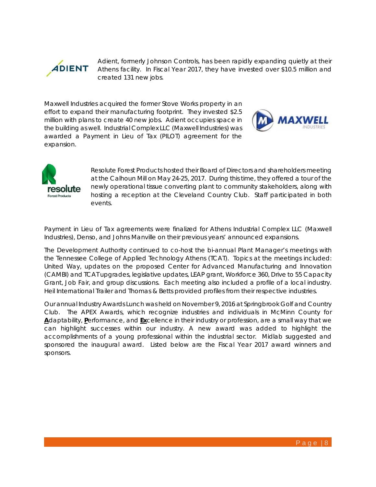

Adient, formerly Johnson Controls, has been rapidly expanding quietly at their Athens facility. In Fiscal Year 2017, they have invested over \$10.5 million and created 131 new jobs.

Maxwell Industries acquired the former Stove Works property in an effort to expand their manufacturing footprint. They invested \$2.5 million with plans to create 40 new jobs. Adient occupies space in the building as well. Industrial Complex LLC (Maxwell Industries) was awarded a Payment in Lieu of Tax (PILOT) agreement for the expansion.





Resolute Forest Products hosted their Board of Directors and shareholders meeting at the Calhoun Mill on May 24-25, 2017. During this time, they offered a tour of the newly operational tissue converting plant to community stakeholders, along with hosting a reception at the Cleveland Country Club. Staff participated in both events.

Payment in Lieu of Tax agreements were finalized for Athens Industrial Complex LLC (Maxwell Industries), Denso, and Johns Manville on their previous years' announced expansions.

The Development Authority continued to co-host the bi-annual Plant Manager's meetings with the Tennessee College of Applied Technology Athens (TCAT). Topics at the meetings included: United Way, updates on the proposed Center for Advanced Manufacturing and Innovation (CAMBI) and TCAT upgrades, legislative updates, LEAP grant, Workforce 360, Drive to 55 Capacity Grant, Job Fair, and group discussions. Each meeting also included a profile of a local industry. Heil International Trailer and Thomas & Betts provided profiles from their respective industries.

Our annual Industry Awards Lunch was held on November 9, 2016 at Springbrook Golf and Country Club. The APEX Awards, which recognize industries and individuals in McMinn County for **A**daptability, **P**erformance, and **Ex**cellence in their industry or profession, are a small way that we can highlight successes within our industry. A new award was added to highlight the accomplishments of a young professional within the industrial sector. Midlab suggested and sponsored the inaugural award. Listed below are the Fiscal Year 2017 award winners and sponsors.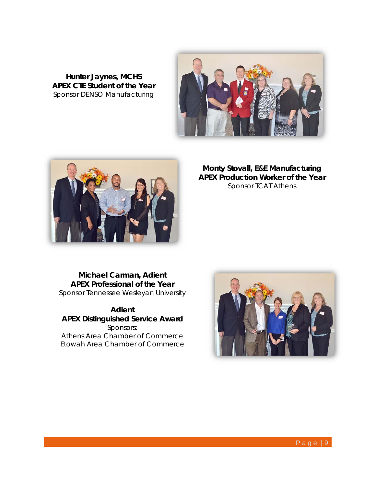**Hunter Jaynes, MCHS APEX CTE Student of the Year**  Sponsor DENSO Manufacturing





**Monty Stovall, E&E Manufacturing APEX Production Worker of the Year** Sponsor TCAT Athens

**Michael Carman, Adient APEX Professional of the Year**  Sponsor Tennessee Wesleyan University

**Adient APEX Distinguished Service Award**  Sponsors: Athens Area Chamber of Commerce Etowah Area Chamber of Commerce

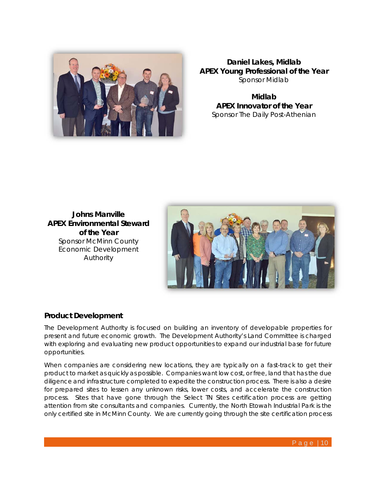

**Daniel Lakes, Midlab APEX Young Professional of the Year**  Sponsor Midlab

**Midlab APEX Innovator of the Year**  Sponsor The Daily Post-Athenian

**Johns Manville APEX Environmental Steward of the Year**  Sponsor McMinn County Economic Development Authority



#### **Product Development**

The Development Authority is focused on building an inventory of developable properties for present and future economic growth. The Development Authority's Land Committee is charged with exploring and evaluating new product opportunities to expand our industrial base for future opportunities.

When companies are considering new locations, they are typically on a fast-track to get their product to market as quickly as possible. Companies want low cost, or free, land that has the due diligence and infrastructure completed to expedite the construction process. There is also a desire for prepared sites to lessen any unknown risks, lower costs, and accelerate the construction process. Sites that have gone through the Select TN Sites certification process are getting attention from site consultants and companies. Currently, the North Etowah Industrial Park is the only certified site in McMinn County. We are currently going through the site certification process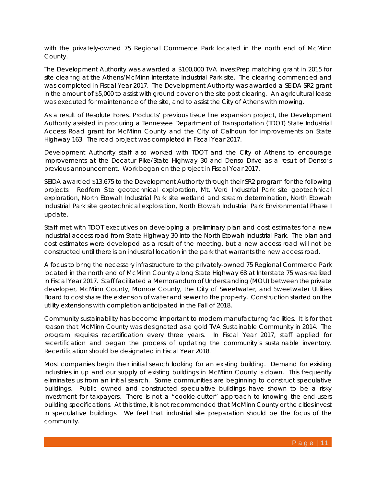with the privately-owned 75 Regional Commerce Park located in the north end of McMinn County.

The Development Authority was awarded a \$100,000 TVA InvestPrep matching grant in 2015 for site clearing at the Athens/McMinn Interstate Industrial Park site. The clearing commenced and was completed in Fiscal Year 2017. The Development Authority was awarded a SEIDA SR2 grant in the amount of \$5,000 to assist with ground cover on the site post clearing. An agricultural lease was executed for maintenance of the site, and to assist the City of Athens with mowing.

As a result of Resolute Forest Products' previous tissue line expansion project, the Development Authority assisted in procuring a Tennessee Department of Transportation (TDOT) State Industrial Access Road grant for McMinn County and the City of Calhoun for improvements on State Highway 163. The road project was completed in Fiscal Year 2017.

Development Authority staff also worked with TDOT and the City of Athens to encourage improvements at the Decatur Pike/State Highway 30 and Denso Drive as a result of Denso's previous announcement. Work began on the project in Fiscal Year 2017.

SEIDA awarded \$13,675 to the Development Authority through their SR2 program for the following projects: Redfern Site geotechnical exploration, Mt. Verd Industrial Park site geotechnical exploration, North Etowah Industrial Park site wetland and stream determination, North Etowah Industrial Park site geotechnical exploration, North Etowah Industrial Park Environmental Phase I update.

Staff met with TDOT executives on developing a preliminary plan and cost estimates for a new industrial access road from State Highway 30 into the North Etowah Industrial Park. The plan and cost estimates were developed as a result of the meeting, but a new access road will not be constructed until there is an industrial location in the park that warrants the new access road.

A focus to bring the necessary infrastructure to the privately-owned 75 Regional Commerce Park located in the north end of McMinn County along State Highway 68 at Interstate 75 was realized in Fiscal Year 2017. Staff facilitated a Memorandum of Understanding (MOU) between the private developer, McMinn County, Monroe County, the City of Sweetwater, and Sweetwater Utilities Board to cost share the extension of water and sewer to the property. Construction started on the utility extensions with completion anticipated in the Fall of 2018.

Community sustainability has become important to modern manufacturing facilities. It is for that reason that McMinn County was designated as a gold TVA Sustainable Community in 2014. The program requires recertification every three years. In Fiscal Year 2017, staff applied for recertification and began the process of updating the community's sustainable inventory. Recertification should be designated in Fiscal Year 2018.

Most companies begin their initial search looking for an existing building. Demand for existing industries in up and our supply of existing buildings in McMinn County is down. This frequently eliminates us from an initial search. Some communities are beginning to construct speculative buildings. Public owned and constructed speculative buildings have shown to be a risky investment for taxpayers. There is not a "cookie-cutter" approach to knowing the end-users building specifications. At this time, it is not recommended that McMinn County or the cities invest in speculative buildings. We feel that industrial site preparation should be the focus of the community.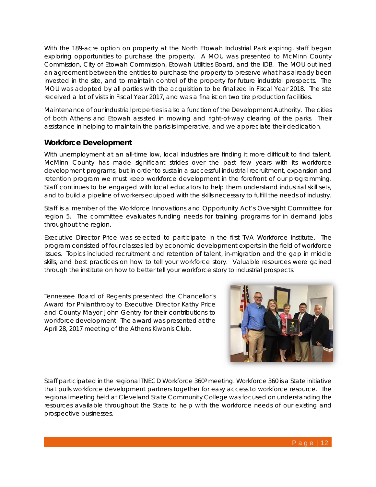With the 189-acre option on property at the North Etowah Industrial Park expiring, staff began exploring opportunities to purchase the property. A MOU was presented to McMinn County Commission, City of Etowah Commission, Etowah Utilities Board, and the IDB. The MOU outlined an agreement between the entities to purchase the property to preserve what has already been invested in the site, and to maintain control of the property for future industrial prospects. The MOU was adopted by all parties with the acquisition to be finalized in Fiscal Year 2018. The site received a lot of visits in Fiscal Year 2017, and was a finalist on two tire production facilities.

Maintenance of our industrial properties is also a function of the Development Authority. The cities of both Athens and Etowah assisted in mowing and right-of-way clearing of the parks. Their assistance in helping to maintain the parks is imperative, and we appreciate their dedication.

#### **Workforce Development**

With unemployment at an all-time low, local industries are finding it more difficult to find talent. McMinn County has made significant strides over the past few years with its workforce development programs, but in order to sustain a successful industrial recruitment, expansion and retention program we must keep workforce development in the forefront of our programming. Staff continues to be engaged with local educators to help them understand industrial skill sets, and to build a pipeline of workers equipped with the skills necessary to fulfill the needs of industry.

Staff is a member of the Workforce Innovations and Opportunity Act's Oversight Committee for region 5. The committee evaluates funding needs for training programs for in demand jobs throughout the region.

Executive Director Price was selected to participate in the first TVA Workforce Institute. The program consisted of four classes led by economic development experts in the field of workforce issues. Topics included recruitment and retention of talent, in-migration and the gap in middle skills, and best practices on how to tell your workforce story. Valuable resources were gained through the institute on how to better tell your workforce story to industrial prospects.

Tennessee Board of Regents presented the Chancellor's Award for Philanthropy to Executive Director Kathy Price and County Mayor John Gentry for their contributions to workforce development. The award was presented at the April 28, 2017 meeting of the Athens Kiwanis Club.



Staff participated in the regional TNECD Workforce 360<sup>0</sup> meeting. Workforce 360 is a State initiative that pulls workforce development partners together for easy access to workforce resource. The regional meeting held at Cleveland State Community College was focused on understanding the resources available throughout the State to help with the workforce needs of our existing and prospective businesses.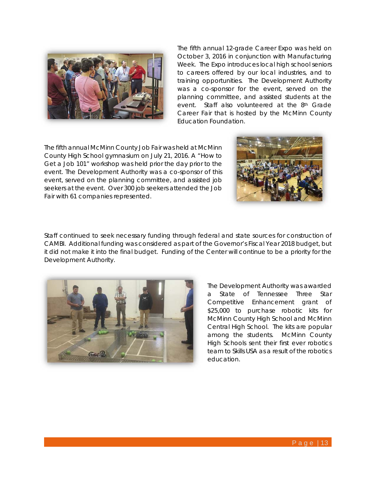

The fifth annual 12-grade Career Expo was held on October 3, 2016 in conjunction with Manufacturing Week. The Expo introduces local high school seniors to careers offered by our local industries, and to training opportunities. The Development Authority was a co-sponsor for the event, served on the planning committee, and assisted students at the event. Staff also volunteered at the 8th Grade Career Fair that is hosted by the McMinn County Education Foundation.

The fifth annual McMinn County Job Fair was held at McMinn County High School gymnasium on July 21, 2016. A "How to Get a Job 101" workshop was held prior the day prior to the event. The Development Authority was a co-sponsor of this event, served on the planning committee, and assisted job seekers at the event. Over 300 job seekers attended the Job Fair with 61 companies represented.



Staff continued to seek necessary funding through federal and state sources for construction of CAMBI. Additional funding was considered as part of the Governor's Fiscal Year 2018 budget, but it did not make it into the final budget. Funding of the Center will continue to be a priority for the Development Authority.



The Development Authority was awarded a State of Tennessee Three Star Competitive Enhancement grant of \$25,000 to purchase robotic kits for McMinn County High School and McMinn Central High School. The kits are popular among the students. McMinn County High Schools sent their first ever robotics team to Skills USA as a result of the robotics education.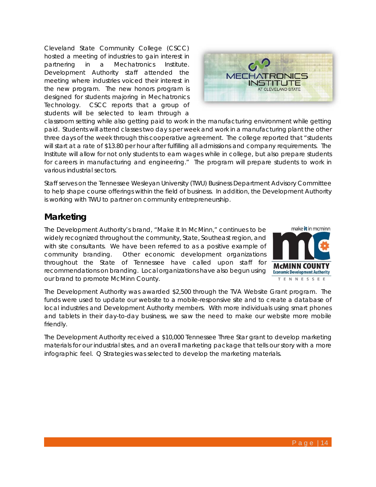Cleveland State Community College (CSCC) hosted a meeting of industries to gain interest in partnering in a Mechatronics Institute. Development Authority staff attended the meeting where industries voiced their interest in the new program. The new honors program is designed for students majoring in Mechatronics Technology. CSCC reports that a group of students will be selected to learn through a



classroom setting while also getting paid to work in the manufacturing environment while getting paid. Students will attend classes two day s per week and work in a manufacturing plant the other three days of the week through this cooperative agreement. The college reported that "students will start at a rate of \$13.80 per hour after fulfilling all admissions and company requirements. The Institute will allow for not only students to earn wages while in college, but also prepare students for careers in manufacturing and engineering." The program will prepare students to work in various industrial sectors.

Staff serves on the Tennessee Wesleyan University (TWU) Business Department Advisory Committee to help shape course offerings within the field of business. In addition, the Development Authority is working with TWU to partner on community entrepreneurship.

## **Marketing**

The Development Authority's brand, "Make It In McMinn," continues to be widely recognized throughout the community, State, Southeast region, and with site consultants. We have been referred to as a positive example of community branding. Other economic development organizations throughout the State of Tennessee have called upon staff for recommendations on branding. Local organizations have also begun using our brand to promote McMinn County.



The Development Authority was awarded \$2,500 through the TVA Website Grant program. The funds were used to update our website to a mobile-responsive site and to create a database of local industries and Development Authority members. With more individuals using smart phones and tablets in their day-to-day business, we saw the need to make our website more mobile friendly.

The Development Authority received a \$10,000 Tennessee Three Star grant to develop marketing materials for our industrial sites, and an overall marketing package that tells our story with a more infographic feel. Q Strategies was selected to develop the marketing materials.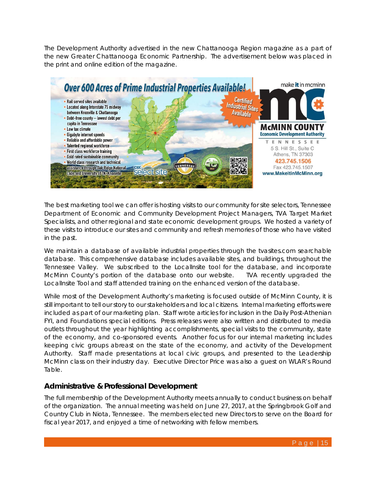The Development Authority advertised in the new Chattanooga Region magazine as a part of the new Greater Chattanooga Economic Partnership. The advertisement below was placed in the print and online edition of the magazine.



The best marketing tool we can offer is hosting visits to our community for site selectors, Tennessee Department of Economic and Community Development Project Managers, TVA Target Market Specialists, and other regional and state economic development groups. We hosted a variety of these visits to introduce our sites and community and refresh memories of those who have visited in the past.

We maintain a database of available industrial properties through the tvasites.com searchable database. This comprehensive database includes available sites, and buildings, throughout the Tennessee Valley. We subscribed to the LocalInsite tool for the database, and incorporate McMinn County's portion of the database onto our website. TVA recently upgraded the LocalInsite Tool and staff attended training on the enhanced version of the database.

While most of the Development Authority's marketing is focused outside of McMinn County, it is still important to tell our story to our stakeholders and local citizens. Internal marketing efforts were included as part of our marketing plan. Staff wrote articles for inclusion in the Daily Post-Athenian FYI, and Foundations special editions. Press releases were also written and distributed to media outlets throughout the year highlighting accomplishments, special visits to the community, state of the economy, and co-sponsored events. Another focus for our internal marketing includes keeping civic groups abreast on the state of the economy, and activity of the Development Authority. Staff made presentations at local civic groups, and presented to the Leadership McMinn class on their industry day. Executive Director Price was also a guest on WLAR's Round Table.

#### **Administrative & Professional Development**

The full membership of the Development Authority meets annually to conduct business on behalf of the organization. The annual meeting was held on June 27, 2017, at the Springbrook Golf and Country Club in Niota, Tennessee. The members elected new Directors to serve on the Board for fiscal year 2017, and enjoyed a time of networking with fellow members.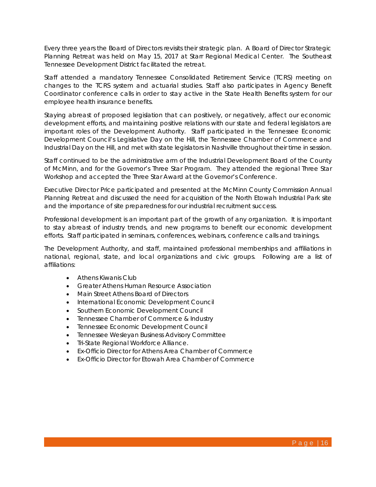Every three years the Board of Directors revisits their strategic plan. A Board of Director Strategic Planning Retreat was held on May 15, 2017 at Starr Regional Medical Center. The Southeast Tennessee Development District facilitated the retreat.

Staff attended a mandatory Tennessee Consolidated Retirement Service (TCRS) meeting on changes to the TCRS system and actuarial studies. Staff also participates in Agency Benefit Coordinator conference calls in order to stay active in the State Health Benefits system for our employee health insurance benefits.

Staying abreast of proposed legislation that can positively, or negatively, affect our economic development efforts, and maintaining positive relations with our state and federal legislators are important roles of the Development Authority. Staff participated in the Tennessee Economic Development Council's Legislative Day on the Hill, the Tennessee Chamber of Commerce and Industrial Day on the Hill, and met with state legislators in Nashville throughout their time in session.

Staff continued to be the administrative arm of the Industrial Development Board of the County of McMinn, and for the Governor's Three Star Program. They attended the regional Three Star Workshop and accepted the Three Star Award at the Governor's Conference.

Executive Director Price participated and presented at the McMinn County Commission Annual Planning Retreat and discussed the need for acquisition of the North Etowah Industrial Park site and the importance of site preparedness for our industrial recruitment success.

Professional development is an important part of the growth of any organization. It is important to stay abreast of industry trends, and new programs to benefit our economic development efforts. Staff participated in seminars, conferences, webinars, conference calls and trainings.

The Development Authority, and staff, maintained professional memberships and affiliations in national, regional, state, and local organizations and civic groups. Following are a list of affiliations:

- Athens Kiwanis Club
- **Greater Athens Human Resource Association**
- Main Street Athens Board of Directors
- International Economic Development Council
- **•** Southern Economic Development Council
- Tennessee Chamber of Commerce & Industry
- **•** Tennessee Economic Development Council
- **•** Tennessee Wesleyan Business Advisory Committee
- **•** Tri-State Regional Workforce Alliance.
- Ex-Officio Director for Athens Area Chamber of Commerce
- Ex-Officio Director for Etowah Area Chamber of Commerce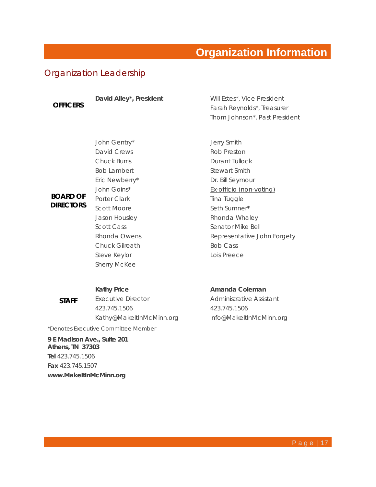## **Organization Information**

## Organization Leadership

**OFFICERS** 

**BOARD OF DIRECTORS** 

David Alley<sup>\*</sup>, President **Will Estes\***, Vice President Farah Reynolds\*, Treasurer Thom Johnson\*, Past President

John Gentry\* David Crews Chuck Burris Bob Lambert Eric Newberry\* John Goins\* Porter Clark Scott Moore Jason Housley Scott Cass Rhonda Owens Chuck Gilreath Steve Keylor Sherry McKee

#### **Kathy Price**

**STAFF**  Executive Director 423.745.1506 Kathy@MakeItInMcMinn.org

*\*Denotes Executive Committee Member*

**9 E Madison Ave., Suite 201 Athens, TN 37303 Tel** 423.745.1506 **Fax** 423.745.1507 **www.MakeItInMcMinn.org**

Jerry Smith Rob Preston Durant Tullock Stewart Smith Dr. Bill Seymour Ex-officio (non-voting) Tina Tuggle Seth Sumner\* Rhonda Whaley Senator Mike Bell Representative John Forgety Bob Cass Lois Preece

#### **Amanda Coleman**

Administrative Assistant 423.745.1506 info@MakeItInMcMinn.org

P a g e | 17